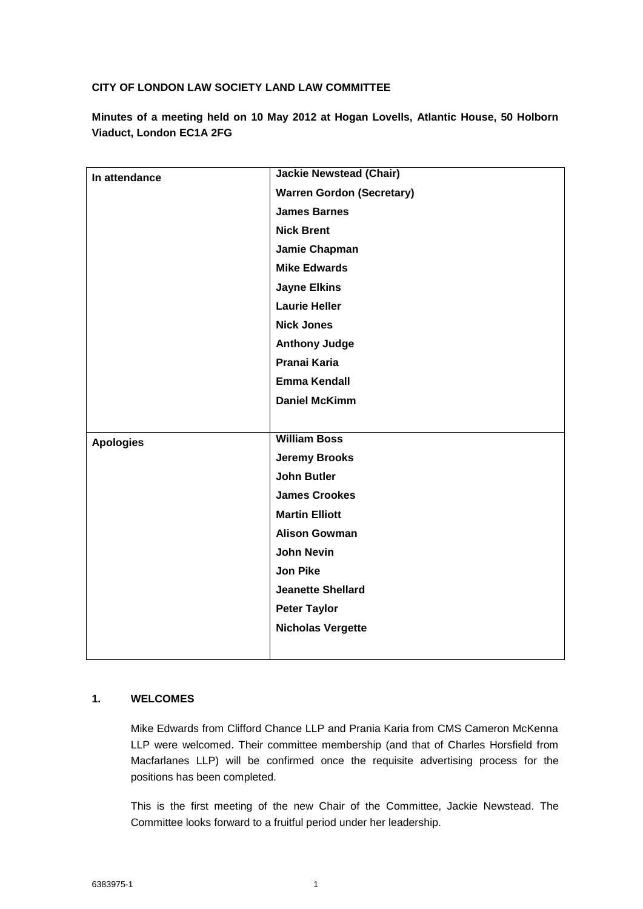# **CITY OF LONDON LAW SOCIETY LAND LAW COMMITTEE**

**Minutes of a meeting held on 10 May 2012 at Hogan Lovells, Atlantic House, 50 Holborn Viaduct, London EC1A 2FG**

| In attendance    | <b>Jackie Newstead (Chair)</b>   |
|------------------|----------------------------------|
|                  | <b>Warren Gordon (Secretary)</b> |
|                  | <b>James Barnes</b>              |
|                  | <b>Nick Brent</b>                |
|                  | Jamie Chapman                    |
|                  | <b>Mike Edwards</b>              |
|                  | <b>Jayne Elkins</b>              |
|                  | <b>Laurie Heller</b>             |
|                  | <b>Nick Jones</b>                |
|                  | <b>Anthony Judge</b>             |
|                  | Pranai Karia                     |
|                  | <b>Emma Kendall</b>              |
|                  | <b>Daniel McKimm</b>             |
|                  |                                  |
| <b>Apologies</b> | <b>William Boss</b>              |
|                  | <b>Jeremy Brooks</b>             |
|                  | <b>John Butler</b>               |
|                  | <b>James Crookes</b>             |
|                  | <b>Martin Elliott</b>            |
|                  | <b>Alison Gowman</b>             |
|                  | <b>John Nevin</b>                |
|                  | <b>Jon Pike</b>                  |
|                  | <b>Jeanette Shellard</b>         |
|                  | <b>Peter Taylor</b>              |
|                  | <b>Nicholas Vergette</b>         |
|                  |                                  |

# **1. WELCOMES**

Mike Edwards from Clifford Chance LLP and Prania Karia from CMS Cameron McKenna LLP were welcomed. Their committee membership (and that of Charles Horsfield from Macfarlanes LLP) will be confirmed once the requisite advertising process for the positions has been completed.

This is the first meeting of the new Chair of the Committee, Jackie Newstead. The Committee looks forward to a fruitful period under her leadership.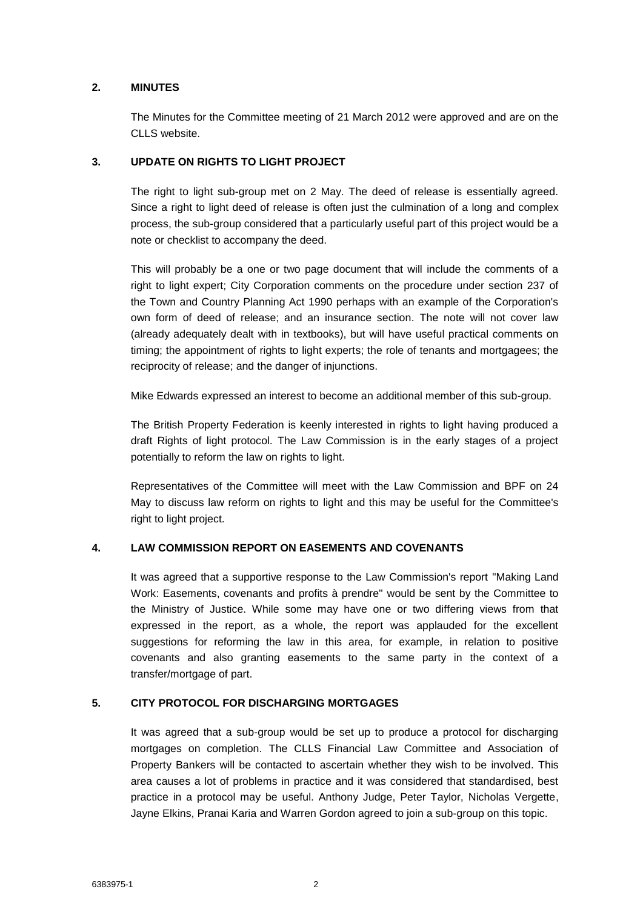# **2. MINUTES**

The Minutes for the Committee meeting of 21 March 2012 were approved and are on the CLLS website.

# **3. UPDATE ON RIGHTS TO LIGHT PROJECT**

The right to light sub-group met on 2 May. The deed of release is essentially agreed. Since a right to light deed of release is often just the culmination of a long and complex process, the sub-group considered that a particularly useful part of this project would be a note or checklist to accompany the deed.

This will probably be a one or two page document that will include the comments of a right to light expert; City Corporation comments on the procedure under section 237 of the Town and Country Planning Act 1990 perhaps with an example of the Corporation's own form of deed of release; and an insurance section. The note will not cover law (already adequately dealt with in textbooks), but will have useful practical comments on timing; the appointment of rights to light experts; the role of tenants and mortgagees; the reciprocity of release; and the danger of injunctions.

Mike Edwards expressed an interest to become an additional member of this sub-group.

The British Property Federation is keenly interested in rights to light having produced a draft Rights of light protocol. The Law Commission is in the early stages of a project potentially to reform the law on rights to light.

Representatives of the Committee will meet with the Law Commission and BPF on 24 May to discuss law reform on rights to light and this may be useful for the Committee's right to light project.

# **4. LAW COMMISSION REPORT ON EASEMENTS AND COVENANTS**

It was agreed that a supportive response to the Law Commission's report "Making Land Work: Easements, covenants and profits à prendre" would be sent by the Committee to the Ministry of Justice. While some may have one or two differing views from that expressed in the report, as a whole, the report was applauded for the excellent suggestions for reforming the law in this area, for example, in relation to positive covenants and also granting easements to the same party in the context of a transfer/mortgage of part.

# **5. CITY PROTOCOL FOR DISCHARGING MORTGAGES**

It was agreed that a sub-group would be set up to produce a protocol for discharging mortgages on completion. The CLLS Financial Law Committee and Association of Property Bankers will be contacted to ascertain whether they wish to be involved. This area causes a lot of problems in practice and it was considered that standardised, best practice in a protocol may be useful. Anthony Judge, Peter Taylor, Nicholas Vergette, Jayne Elkins, Pranai Karia and Warren Gordon agreed to join a sub-group on this topic.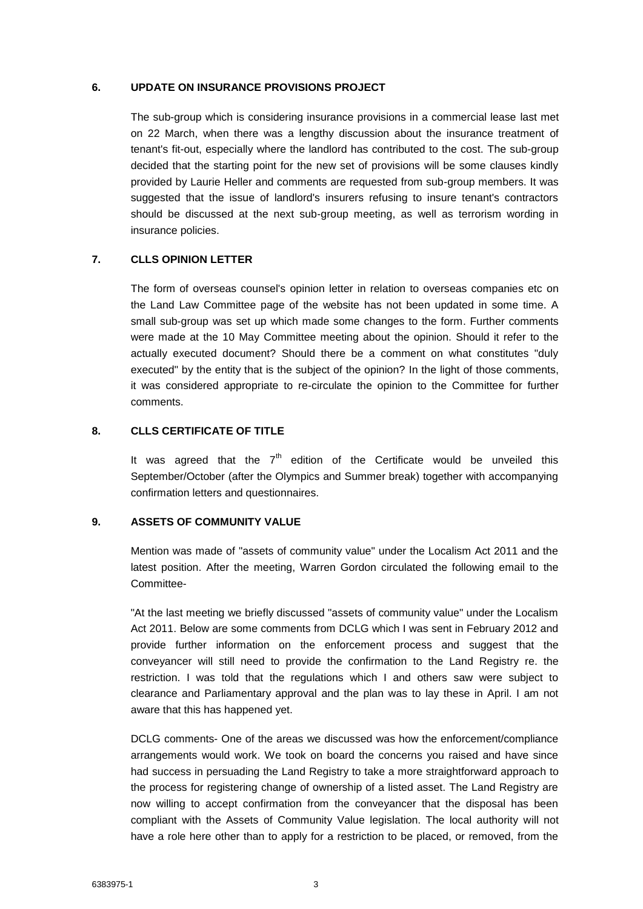#### **6. UPDATE ON INSURANCE PROVISIONS PROJECT**

The sub-group which is considering insurance provisions in a commercial lease last met on 22 March, when there was a lengthy discussion about the insurance treatment of tenant's fit-out, especially where the landlord has contributed to the cost. The sub-group decided that the starting point for the new set of provisions will be some clauses kindly provided by Laurie Heller and comments are requested from sub-group members. It was suggested that the issue of landlord's insurers refusing to insure tenant's contractors should be discussed at the next sub-group meeting, as well as terrorism wording in insurance policies.

## **7. CLLS OPINION LETTER**

The form of overseas counsel's opinion letter in relation to overseas companies etc on the Land Law Committee page of the website has not been updated in some time. A small sub-group was set up which made some changes to the form. Further comments were made at the 10 May Committee meeting about the opinion. Should it refer to the actually executed document? Should there be a comment on what constitutes "duly executed" by the entity that is the subject of the opinion? In the light of those comments, it was considered appropriate to re-circulate the opinion to the Committee for further comments.

## **8. CLLS CERTIFICATE OF TITLE**

It was agreed that the  $7<sup>th</sup>$  edition of the Certificate would be unveiled this September/October (after the Olympics and Summer break) together with accompanying confirmation letters and questionnaires.

## **9. ASSETS OF COMMUNITY VALUE**

Mention was made of "assets of community value" under the Localism Act 2011 and the latest position. After the meeting, Warren Gordon circulated the following email to the Committee-

"At the last meeting we briefly discussed "assets of community value" under the Localism Act 2011. Below are some comments from DCLG which I was sent in February 2012 and provide further information on the enforcement process and suggest that the conveyancer will still need to provide the confirmation to the Land Registry re. the restriction. I was told that the regulations which I and others saw were subject to clearance and Parliamentary approval and the plan was to lay these in April. I am not aware that this has happened yet.

DCLG comments- One of the areas we discussed was how the enforcement/compliance arrangements would work. We took on board the concerns you raised and have since had success in persuading the Land Registry to take a more straightforward approach to the process for registering change of ownership of a listed asset. The Land Registry are now willing to accept confirmation from the conveyancer that the disposal has been compliant with the Assets of Community Value legislation. The local authority will not have a role here other than to apply for a restriction to be placed, or removed, from the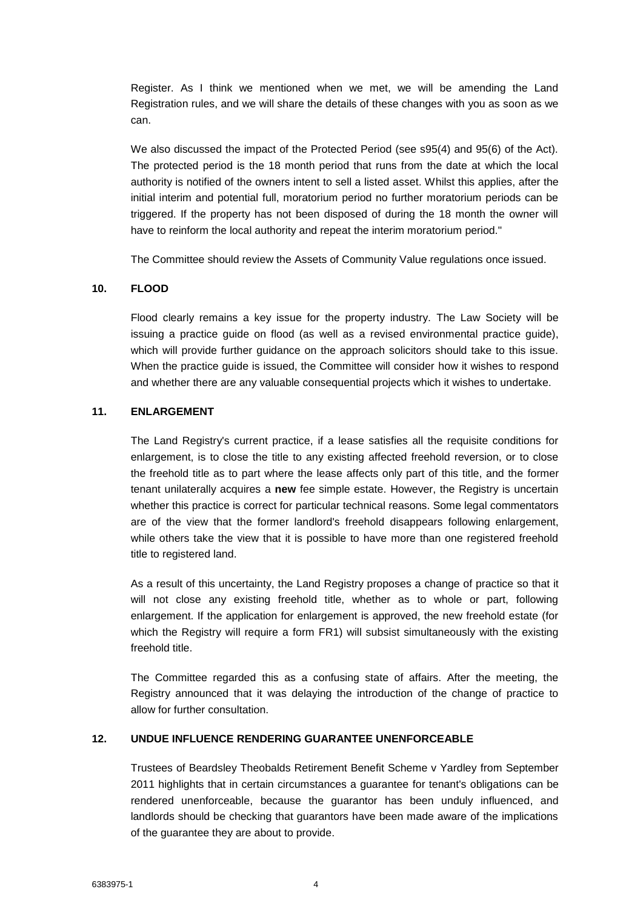Register. As I think we mentioned when we met, we will be amending the Land Registration rules, and we will share the details of these changes with you as soon as we can.

We also discussed the impact of the Protected Period (see s95(4) and 95(6) of the Act). The protected period is the 18 month period that runs from the date at which the local authority is notified of the owners intent to sell a listed asset. Whilst this applies, after the initial interim and potential full, moratorium period no further moratorium periods can be triggered. If the property has not been disposed of during the 18 month the owner will have to reinform the local authority and repeat the interim moratorium period."

The Committee should review the Assets of Community Value regulations once issued.

## **10. FLOOD**

Flood clearly remains a key issue for the property industry. The Law Society will be issuing a practice guide on flood (as well as a revised environmental practice guide), which will provide further guidance on the approach solicitors should take to this issue. When the practice guide is issued, the Committee will consider how it wishes to respond and whether there are any valuable consequential projects which it wishes to undertake.

## **11. ENLARGEMENT**

The Land Registry's current practice, if a lease satisfies all the requisite conditions for enlargement, is to close the title to any existing affected freehold reversion, or to close the freehold title as to part where the lease affects only part of this title, and the former tenant unilaterally acquires a **new** fee simple estate. However, the Registry is uncertain whether this practice is correct for particular technical reasons. Some legal commentators are of the view that the former landlord's freehold disappears following enlargement, while others take the view that it is possible to have more than one registered freehold title to registered land.

As a result of this uncertainty, the Land Registry proposes a change of practice so that it will not close any existing freehold title, whether as to whole or part, following enlargement. If the application for enlargement is approved, the new freehold estate (for which the Registry will require a form FR1) will subsist simultaneously with the existing freehold title.

The Committee regarded this as a confusing state of affairs. After the meeting, the Registry announced that it was delaying the introduction of the change of practice to allow for further consultation.

# **12. UNDUE INFLUENCE RENDERING GUARANTEE UNENFORCEABLE**

Trustees of Beardsley Theobalds Retirement Benefit Scheme v Yardley from September 2011 highlights that in certain circumstances a guarantee for tenant's obligations can be rendered unenforceable, because the guarantor has been unduly influenced, and landlords should be checking that guarantors have been made aware of the implications of the guarantee they are about to provide.